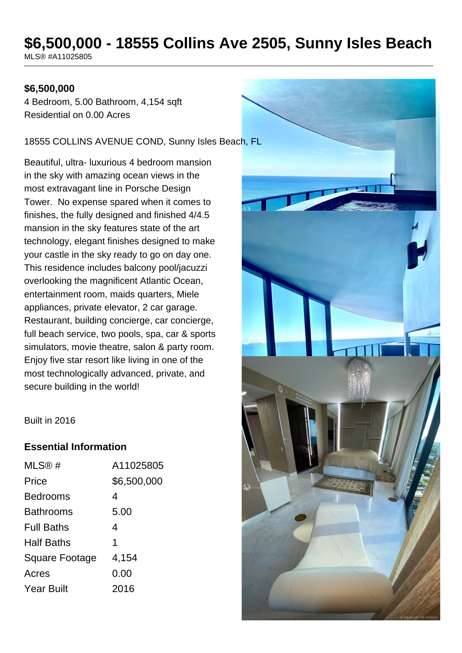# **\$6,500,000 - 18555 Collins Ave 2505, Sunny Isles Beach**

MLS® #A11025805

#### **\$6,500,000**

4 Bedroom, 5.00 Bathroom, 4,154 sqft Residential on 0.00 Acres

18555 COLLINS AVENUE COND, Sunny Isles Beach, FL

Beautiful, ultra- luxurious 4 bedroom mansion in the sky with amazing ocean views in the most extravagant line in Porsche Design Tower. No expense spared when it comes to finishes, the fully designed and finished 4/4.5 mansion in the sky features state of the art technology, elegant finishes designed to make your castle in the sky ready to go on day one. This residence includes balcony pool/jacuzzi overlooking the magnificent Atlantic Ocean, entertainment room, maids quarters, Miele appliances, private elevator, 2 car garage. Restaurant, building concierge, car concierge, full beach service, two pools, spa, car & sports simulators, movie theatre, salon & party room. Enjoy five star resort like living in one of the most technologically advanced, private, and secure building in the world!



Built in 2016

#### **Essential Information**

| MLS@#                 | A11025805   |
|-----------------------|-------------|
| Price                 | \$6,500,000 |
| <b>Bedrooms</b>       | 4           |
| <b>Bathrooms</b>      | 5.00        |
| <b>Full Baths</b>     | 4           |
| <b>Half Baths</b>     | 1           |
| <b>Square Footage</b> | 4,154       |
| Acres                 | 0.00        |
| <b>Year Built</b>     | 2016        |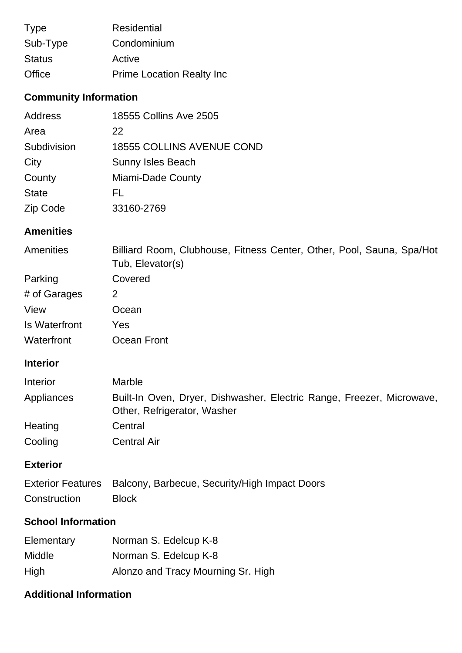| <b>Type</b>   | <b>Residential</b>               |
|---------------|----------------------------------|
| Sub-Type      | Condominium                      |
| <b>Status</b> | Active                           |
| Office        | <b>Prime Location Realty Inc</b> |

# **Community Information**

| Address      | 18555 Collins Ave 2505           |
|--------------|----------------------------------|
| Area         | 22                               |
| Subdivision  | <b>18555 COLLINS AVENUE COND</b> |
| City         | <b>Sunny Isles Beach</b>         |
| County       | Miami-Dade County                |
| <b>State</b> | FL                               |
| Zip Code     | 33160-2769                       |

#### **Amenities**

| Amenities     | Billiard Room, Clubhouse, Fitness Center, Other, Pool, Sauna, Spa/Hot<br>Tub, Elevator(s) |
|---------------|-------------------------------------------------------------------------------------------|
| Parking       | Covered                                                                                   |
| # of Garages  | 2                                                                                         |
| View          | Ocean                                                                                     |
| Is Waterfront | Yes                                                                                       |
| Waterfront    | Ocean Front                                                                               |

## **Interior**

| Interior   | <b>Marble</b>                                                                                        |
|------------|------------------------------------------------------------------------------------------------------|
| Appliances | Built-In Oven, Dryer, Dishwasher, Electric Range, Freezer, Microwave,<br>Other, Refrigerator, Washer |
| Heating    | Central                                                                                              |
| Cooling    | <b>Central Air</b>                                                                                   |

## **Exterior**

|              | Exterior Features Balcony, Barbecue, Security/High Impact Doors |
|--------------|-----------------------------------------------------------------|
| Construction | <b>Block</b>                                                    |

### **School Information**

| Elementary | Norman S. Edelcup K-8              |
|------------|------------------------------------|
| Middle     | Norman S. Edelcup K-8              |
| High       | Alonzo and Tracy Mourning Sr. High |

## **Additional Information**